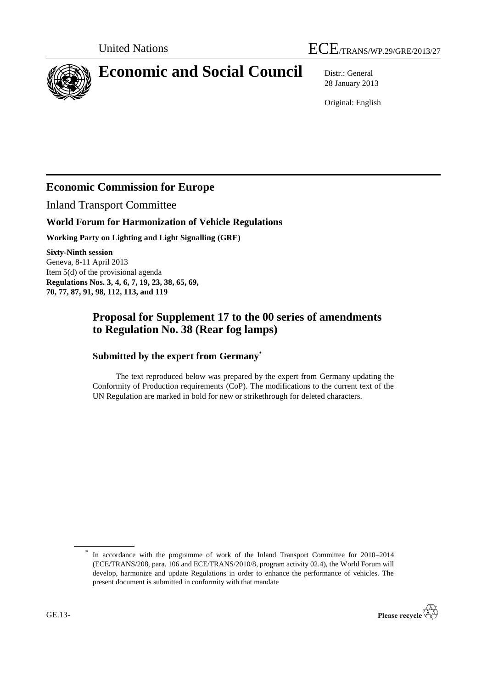

# **Economic and Social Council** Distr.: General

28 January 2013

Original: English

### **Economic Commission for Europe**

Inland Transport Committee

#### **World Forum for Harmonization of Vehicle Regulations**

**Working Party on Lighting and Light Signalling (GRE)**

**Sixty-Ninth session** Geneva, 8-11 April 2013 Item 5(d) of the provisional agenda **Regulations Nos. 3, 4, 6, 7, 19, 23, 38, 65, 69, 70, 77, 87, 91, 98, 112, 113, and 119**

### **Proposal for Supplement 17 to the 00 series of amendments to Regulation No. 38 (Rear fog lamps)**

#### **Submitted by the expert from Germany\***

The text reproduced below was prepared by the expert from Germany updating the Conformity of Production requirements (CoP). The modifications to the current text of the UN Regulation are marked in bold for new or strikethrough for deleted characters.

<sup>\*</sup> In accordance with the programme of work of the Inland Transport Committee for 2010–2014 (ECE/TRANS/208, para. 106 and ECE/TRANS/2010/8, program activity 02.4), the World Forum will develop, harmonize and update Regulations in order to enhance the performance of vehicles. The present document is submitted in conformity with that mandate

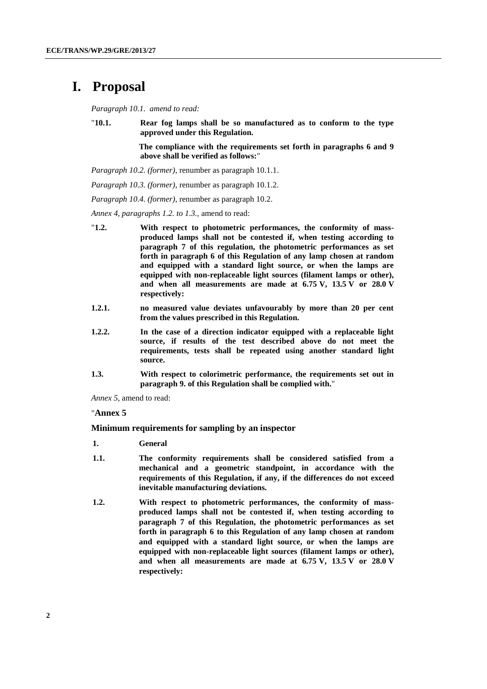## **I. Proposal**

*Paragraph 10.1. amend to read:*

"**10.1. Rear fog lamps shall be so manufactured as to conform to the type approved under this Regulation.** 

> **The compliance with the requirements set forth in paragraphs 6 and 9 above shall be verified as follows:**"

*Paragraph 10.2. (former)*, renumber as paragraph 10.1.1.

*Paragraph 10.3. (former)*, renumber as paragraph 10.1.2.

*Paragraph 10.4. (former)*, renumber as paragraph 10.2.

*Annex 4, paragraphs 1.2. to 1.3.,* amend to read:

- "**1.2. With respect to photometric performances, the conformity of massproduced lamps shall not be contested if, when testing according to paragraph 7 of this regulation, the photometric performances as set forth in paragraph 6 of this Regulation of any lamp chosen at random and equipped with a standard light source, or when the lamps are equipped with non-replaceable light sources (filament lamps or other), and when all measurements are made at 6.75 V, 13.5 V or 28.0 V respectively:**
- **1.2.1. no measured value deviates unfavourably by more than 20 per cent from the values prescribed in this Regulation.**
- **1.2.2. In the case of a direction indicator equipped with a replaceable light source, if results of the test described above do not meet the requirements, tests shall be repeated using another standard light source.**
- **1.3. With respect to colorimetric performance, the requirements set out in paragraph 9. of this Regulation shall be complied with.**"

*Annex 5,* amend to read:

#### "**Annex 5**

**Minimum requirements for sampling by an inspector**

- **1. General**
- **1.1. The conformity requirements shall be considered satisfied from a mechanical and a geometric standpoint, in accordance with the requirements of this Regulation, if any, if the differences do not exceed inevitable manufacturing deviations.**
- **1.2. With respect to photometric performances, the conformity of massproduced lamps shall not be contested if, when testing according to paragraph 7 of this Regulation, the photometric performances as set forth in paragraph 6 to this Regulation of any lamp chosen at random and equipped with a standard light source, or when the lamps are equipped with non-replaceable light sources (filament lamps or other), and when all measurements are made at 6.75 V, 13.5 V or 28.0 V respectively:**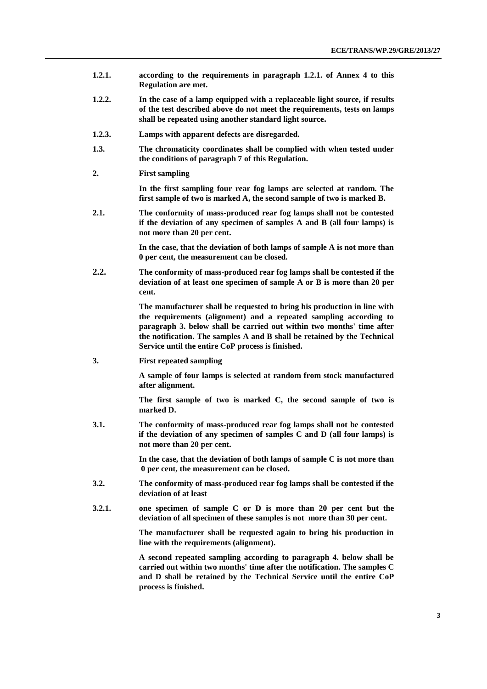- **1.2.1. according to the requirements in paragraph 1.2.1. of Annex 4 to this Regulation are met.**
- **1.2.2. In the case of a lamp equipped with a replaceable light source, if results of the test described above do not meet the requirements, tests on lamps shall be repeated using another standard light source.**
- **1.2.3. Lamps with apparent defects are disregarded.**
- **1.3. The chromaticity coordinates shall be complied with when tested under the conditions of paragraph 7 of this Regulation.**
- **2. First sampling**

**In the first sampling four rear fog lamps are selected at random. The first sample of two is marked A, the second sample of two is marked B.**

**2.1. The conformity of mass-produced rear fog lamps shall not be contested if the deviation of any specimen of samples A and B (all four lamps) is not more than 20 per cent.**

> **In the case, that the deviation of both lamps of sample A is not more than 0 per cent, the measurement can be closed.**

**2.2. The conformity of mass-produced rear fog lamps shall be contested if the deviation of at least one specimen of sample A or B is more than 20 per cent.**

> **The manufacturer shall be requested to bring his production in line with the requirements (alignment) and a repeated sampling according to paragraph 3. below shall be carried out within two months' time after the notification. The samples A and B shall be retained by the Technical Service until the entire CoP process is finished.**

**3. First repeated sampling**

**A sample of four lamps is selected at random from stock manufactured after alignment.**

**The first sample of two is marked C, the second sample of two is marked D.**

**3.1. The conformity of mass-produced rear fog lamps shall not be contested if the deviation of any specimen of samples C and D (all four lamps) is not more than 20 per cent.**

> **In the case, that the deviation of both lamps of sample C is not more than 0 per cent, the measurement can be closed.**

- **3.2. The conformity of mass-produced rear fog lamps shall be contested if the deviation of at least**
- **3.2.1. one specimen of sample C or D is more than 20 per cent but the deviation of all specimen of these samples is not more than 30 per cent.**

**The manufacturer shall be requested again to bring his production in line with the requirements (alignment).**

**A second repeated sampling according to paragraph 4. below shall be carried out within two months' time after the notification. The samples C and D shall be retained by the Technical Service until the entire CoP process is finished.**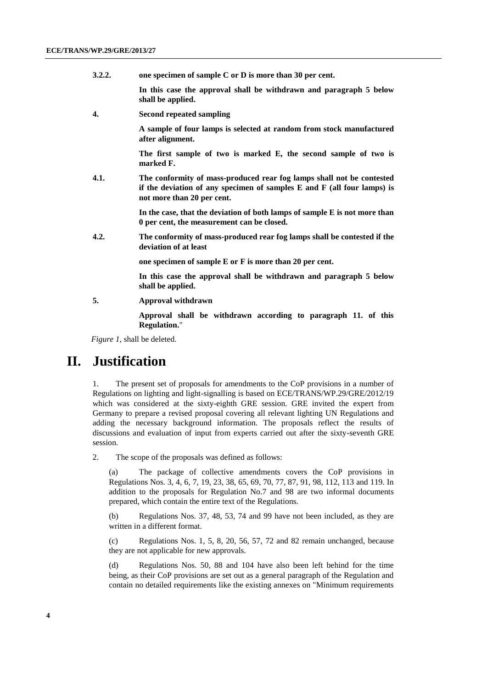**3.2.2. one specimen of sample C or D is more than 30 per cent.**

**In this case the approval shall be withdrawn and paragraph 5 below shall be applied.**

**4. Second repeated sampling**

**A sample of four lamps is selected at random from stock manufactured after alignment.** 

**The first sample of two is marked E, the second sample of two is marked F.**

**4.1. The conformity of mass-produced rear fog lamps shall not be contested if the deviation of any specimen of samples E and F (all four lamps) is not more than 20 per cent.**

> **In the case, that the deviation of both lamps of sample E is not more than 0 per cent, the measurement can be closed.**

**4.2. The conformity of mass-produced rear fog lamps shall be contested if the deviation of at least**

**one specimen of sample E or F is more than 20 per cent.** 

**In this case the approval shall be withdrawn and paragraph 5 below shall be applied.**

**5. Approval withdrawn**

**Approval shall be withdrawn according to paragraph 11. of this Regulation.**"

*Figure 1*, shall be deleted.

### **II. Justification**

1. The present set of proposals for amendments to the CoP provisions in a number of Regulations on lighting and light-signalling is based on ECE/TRANS/WP.29/GRE/2012/19 which was considered at the sixty-eighth GRE session. GRE invited the expert from Germany to prepare a revised proposal covering all relevant lighting UN Regulations and adding the necessary background information. The proposals reflect the results of discussions and evaluation of input from experts carried out after the sixty-seventh GRE session.

2. The scope of the proposals was defined as follows:

(a) The package of collective amendments covers the CoP provisions in Regulations Nos. 3, 4, 6, 7, 19, 23, 38, 65, 69, 70, 77, 87, 91, 98, 112, 113 and 119. In addition to the proposals for Regulation No.7 and 98 are two informal documents prepared, which contain the entire text of the Regulations.

(b) Regulations Nos. 37, 48, 53, 74 and 99 have not been included, as they are written in a different format.

(c) Regulations Nos. 1, 5, 8, 20, 56, 57, 72 and 82 remain unchanged, because they are not applicable for new approvals.

(d) Regulations Nos. 50, 88 and 104 have also been left behind for the time being, as their CoP provisions are set out as a general paragraph of the Regulation and contain no detailed requirements like the existing annexes on "Minimum requirements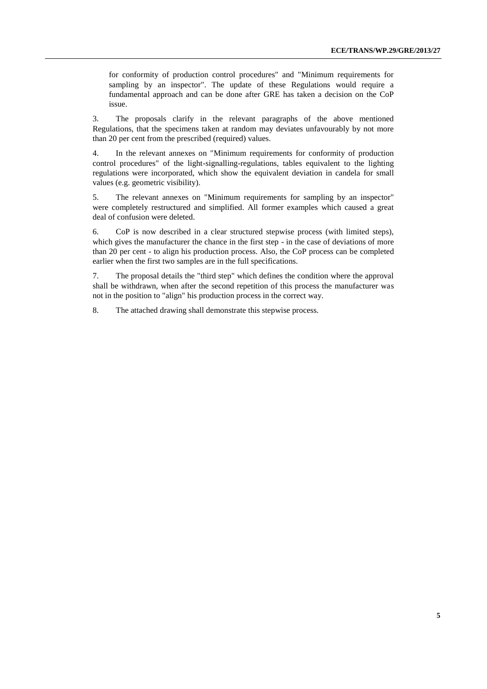for conformity of production control procedures" and "Minimum requirements for sampling by an inspector". The update of these Regulations would require a fundamental approach and can be done after GRE has taken a decision on the CoP issue.

3. The proposals clarify in the relevant paragraphs of the above mentioned Regulations, that the specimens taken at random may deviates unfavourably by not more than 20 per cent from the prescribed (required) values.

4. In the relevant annexes on "Minimum requirements for conformity of production control procedures" of the light-signalling-regulations, tables equivalent to the lighting regulations were incorporated, which show the equivalent deviation in candela for small values (e.g. geometric visibility).

5. The relevant annexes on "Minimum requirements for sampling by an inspector" were completely restructured and simplified. All former examples which caused a great deal of confusion were deleted.

6. CoP is now described in a clear structured stepwise process (with limited steps), which gives the manufacturer the chance in the first step - in the case of deviations of more than 20 per cent - to align his production process. Also, the CoP process can be completed earlier when the first two samples are in the full specifications.

7. The proposal details the "third step" which defines the condition where the approval shall be withdrawn, when after the second repetition of this process the manufacturer was not in the position to "align" his production process in the correct way.

8. The attached drawing shall demonstrate this stepwise process.